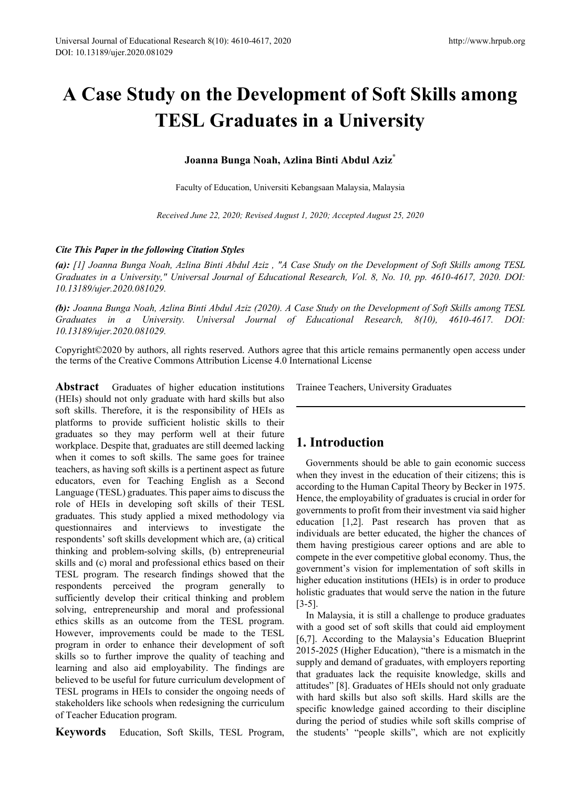# **A Case Study on the Development of Soft Skills among TESL Graduates in a University**

**Joanna Bunga Noah, Azlina Binti Abdul Aziz\***

Faculty of Education, Universiti Kebangsaan Malaysia, Malaysia

*Received June 22, 2020; Revised August 1, 2020; Accepted August 25, 2020*

## *Cite This Paper in the following Citation Styles*

*(a): [1] Joanna Bunga Noah, Azlina Binti Abdul Aziz , "A Case Study on the Development of Soft Skills among TESL Graduates in a University," Universal Journal of Educational Research, Vol. 8, No. 10, pp. 4610-4617, 2020. DOI: 10.13189/ujer.2020.081029.* 

*(b): Joanna Bunga Noah, Azlina Binti Abdul Aziz (2020). A Case Study on the Development of Soft Skills among TESL Graduates in a University. Universal Journal of Educational Research, 8(10), 4610-4617. DOI: 10.13189/ujer.2020.081029.* 

Copyright©2020 by authors, all rights reserved. Authors agree that this article remains permanently open access under the terms of the Creative Commons Attribution License 4.0 International License

**Abstract** Graduates of higher education institutions (HEIs) should not only graduate with hard skills but also soft skills. Therefore, it is the responsibility of HEIs as platforms to provide sufficient holistic skills to their graduates so they may perform well at their future workplace. Despite that, graduates are still deemed lacking when it comes to soft skills. The same goes for trainee teachers, as having soft skills is a pertinent aspect as future educators, even for Teaching English as a Second Language (TESL) graduates. This paper aims to discuss the role of HEIs in developing soft skills of their TESL graduates. This study applied a mixed methodology via questionnaires and interviews to investigate the respondents' soft skills development which are, (a) critical thinking and problem-solving skills, (b) entrepreneurial skills and (c) moral and professional ethics based on their TESL program. The research findings showed that the respondents perceived the program generally to sufficiently develop their critical thinking and problem solving, entrepreneurship and moral and professional ethics skills as an outcome from the TESL program. However, improvements could be made to the TESL program in order to enhance their development of soft skills so to further improve the quality of teaching and learning and also aid employability. The findings are believed to be useful for future curriculum development of TESL programs in HEIs to consider the ongoing needs of stakeholders like schools when redesigning the curriculum of Teacher Education program.

**Keywords** Education, Soft Skills, TESL Program,

Trainee Teachers, University Graduates

# **1. Introduction**

Governments should be able to gain economic success when they invest in the education of their citizens; this is according to the Human Capital Theory by Becker in 1975. Hence, the employability of graduates is crucial in order for governments to profit from their investment via said higher education [1,2]. Past research has proven that as individuals are better educated, the higher the chances of them having prestigious career options and are able to compete in the ever competitive global economy. Thus, the government's vision for implementation of soft skills in higher education institutions (HEIs) is in order to produce holistic graduates that would serve the nation in the future [3-5].

In Malaysia, it is still a challenge to produce graduates with a good set of soft skills that could aid employment [6,7]. According to the Malaysia's Education Blueprint 2015-2025 (Higher Education), "there is a mismatch in the supply and demand of graduates, with employers reporting that graduates lack the requisite knowledge, skills and attitudes" [8]. Graduates of HEIs should not only graduate with hard skills but also soft skills. Hard skills are the specific knowledge gained according to their discipline during the period of studies while soft skills comprise of the students' "people skills", which are not explicitly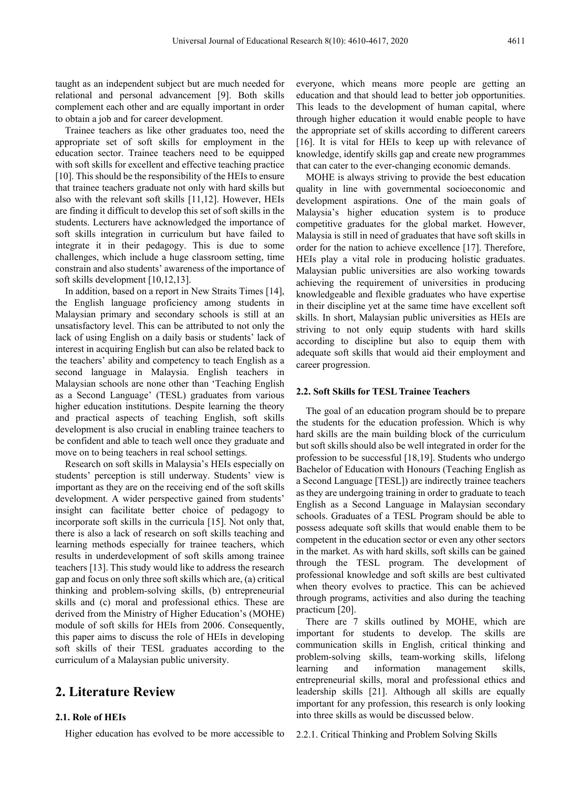taught as an independent subject but are much needed for relational and personal advancement [9]. Both skills complement each other and are equally important in order to obtain a job and for career development.

Trainee teachers as like other graduates too, need the appropriate set of soft skills for employment in the education sector. Trainee teachers need to be equipped with soft skills for excellent and effective teaching practice [10]. This should be the responsibility of the HEIs to ensure that trainee teachers graduate not only with hard skills but also with the relevant soft skills [11,12]. However, HEIs are finding it difficult to develop this set of soft skills in the students. Lecturers have acknowledged the importance of soft skills integration in curriculum but have failed to integrate it in their pedagogy. This is due to some challenges, which include a huge classroom setting, time constrain and also students' awareness of the importance of soft skills development [10,12,13].

In addition, based on a report in New Straits Times [14], the English language proficiency among students in Malaysian primary and secondary schools is still at an unsatisfactory level. This can be attributed to not only the lack of using English on a daily basis or students' lack of interest in acquiring English but can also be related back to the teachers' ability and competency to teach English as a second language in Malaysia. English teachers in Malaysian schools are none other than 'Teaching English as a Second Language' (TESL) graduates from various higher education institutions. Despite learning the theory and practical aspects of teaching English, soft skills development is also crucial in enabling trainee teachers to be confident and able to teach well once they graduate and move on to being teachers in real school settings.

Research on soft skills in Malaysia's HEIs especially on students' perception is still underway. Students' view is important as they are on the receiving end of the soft skills development. A wider perspective gained from students' insight can facilitate better choice of pedagogy to incorporate soft skills in the curricula [15]. Not only that, there is also a lack of research on soft skills teaching and learning methods especially for trainee teachers, which results in underdevelopment of soft skills among trainee teachers [13]. This study would like to address the research gap and focus on only three soft skills which are, (a) critical thinking and problem-solving skills, (b) entrepreneurial skills and (c) moral and professional ethics. These are derived from the Ministry of Higher Education's (MOHE) module of soft skills for HEIs from 2006. Consequently, this paper aims to discuss the role of HEIs in developing soft skills of their TESL graduates according to the curriculum of a Malaysian public university.

## **2. Literature Review**

## **2.1. Role of HEIs**

Higher education has evolved to be more accessible to

everyone, which means more people are getting an education and that should lead to better job opportunities. This leads to the development of human capital, where through higher education it would enable people to have the appropriate set of skills according to different careers [16]. It is vital for HEIs to keep up with relevance of knowledge, identify skills gap and create new programmes that can cater to the ever-changing economic demands.

MOHE is always striving to provide the best education quality in line with governmental socioeconomic and development aspirations. One of the main goals of Malaysia's higher education system is to produce competitive graduates for the global market. However, Malaysia is still in need of graduates that have soft skills in order for the nation to achieve excellence [17]. Therefore, HEIs play a vital role in producing holistic graduates. Malaysian public universities are also working towards achieving the requirement of universities in producing knowledgeable and flexible graduates who have expertise in their discipline yet at the same time have excellent soft skills. In short, Malaysian public universities as HEIs are striving to not only equip students with hard skills according to discipline but also to equip them with adequate soft skills that would aid their employment and career progression.

#### **2.2. Soft Skills for TESL Trainee Teachers**

The goal of an education program should be to prepare the students for the education profession. Which is why hard skills are the main building block of the curriculum but soft skills should also be well integrated in order for the profession to be successful [18,19]. Students who undergo Bachelor of Education with Honours (Teaching English as a Second Language [TESL]) are indirectly trainee teachers as they are undergoing training in order to graduate to teach English as a Second Language in Malaysian secondary schools. Graduates of a TESL Program should be able to possess adequate soft skills that would enable them to be competent in the education sector or even any other sectors in the market. As with hard skills, soft skills can be gained through the TESL program. The development of professional knowledge and soft skills are best cultivated when theory evolves to practice. This can be achieved through programs, activities and also during the teaching practicum [20].

There are 7 skills outlined by MOHE, which are important for students to develop. The skills are communication skills in English, critical thinking and problem-solving skills, team-working skills, lifelong learning and information management skills, entrepreneurial skills, moral and professional ethics and leadership skills [21]. Although all skills are equally important for any profession, this research is only looking into three skills as would be discussed below.

2.2.1. Critical Thinking and Problem Solving Skills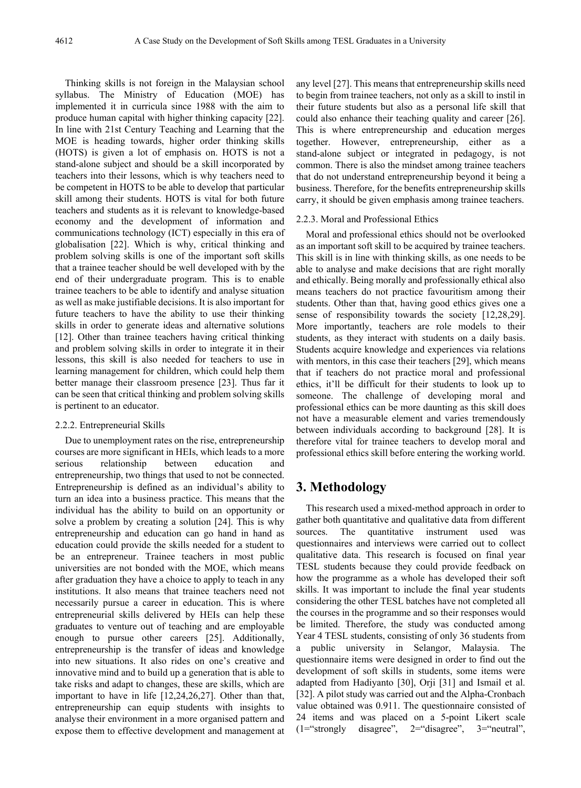Thinking skills is not foreign in the Malaysian school syllabus. The Ministry of Education (MOE) has implemented it in curricula since 1988 with the aim to produce human capital with higher thinking capacity [22]. In line with 21st Century Teaching and Learning that the MOE is heading towards, higher order thinking skills (HOTS) is given a lot of emphasis on. HOTS is not a stand-alone subject and should be a skill incorporated by teachers into their lessons, which is why teachers need to be competent in HOTS to be able to develop that particular skill among their students. HOTS is vital for both future teachers and students as it is relevant to knowledge-based economy and the development of information and communications technology (ICT) especially in this era of globalisation [22]. Which is why, critical thinking and problem solving skills is one of the important soft skills that a trainee teacher should be well developed with by the end of their undergraduate program. This is to enable trainee teachers to be able to identify and analyse situation as well as make justifiable decisions. It is also important for future teachers to have the ability to use their thinking skills in order to generate ideas and alternative solutions [12]. Other than trainee teachers having critical thinking and problem solving skills in order to integrate it in their lessons, this skill is also needed for teachers to use in learning management for children, which could help them better manage their classroom presence [23]. Thus far it can be seen that critical thinking and problem solving skills is pertinent to an educator.

#### 2.2.2. Entrepreneurial Skills

Due to unemployment rates on the rise, entrepreneurship courses are more significant in HEIs, which leads to a more serious relationship between education and entrepreneurship, two things that used to not be connected. Entrepreneurship is defined as an individual's ability to turn an idea into a business practice. This means that the individual has the ability to build on an opportunity or solve a problem by creating a solution [24]. This is why entrepreneurship and education can go hand in hand as education could provide the skills needed for a student to be an entrepreneur. Trainee teachers in most public universities are not bonded with the MOE, which means after graduation they have a choice to apply to teach in any institutions. It also means that trainee teachers need not necessarily pursue a career in education. This is where entrepreneurial skills delivered by HEIs can help these graduates to venture out of teaching and are employable enough to pursue other careers [25]. Additionally, entrepreneurship is the transfer of ideas and knowledge into new situations. It also rides on one's creative and innovative mind and to build up a generation that is able to take risks and adapt to changes, these are skills, which are important to have in life [12,24,26,27]. Other than that, entrepreneurship can equip students with insights to analyse their environment in a more organised pattern and expose them to effective development and management at

any level [27]. This means that entrepreneurship skills need to begin from trainee teachers, not only as a skill to instil in their future students but also as a personal life skill that could also enhance their teaching quality and career [26]. This is where entrepreneurship and education merges together. However, entrepreneurship, either as a stand-alone subject or integrated in pedagogy, is not common. There is also the mindset among trainee teachers that do not understand entrepreneurship beyond it being a business. Therefore, for the benefits entrepreneurship skills carry, it should be given emphasis among trainee teachers.

#### 2.2.3. Moral and Professional Ethics

Moral and professional ethics should not be overlooked as an important soft skill to be acquired by trainee teachers. This skill is in line with thinking skills, as one needs to be able to analyse and make decisions that are right morally and ethically. Being morally and professionally ethical also means teachers do not practice favouritism among their students. Other than that, having good ethics gives one a sense of responsibility towards the society [12,28,29]. More importantly, teachers are role models to their students, as they interact with students on a daily basis. Students acquire knowledge and experiences via relations with mentors, in this case their teachers [29], which means that if teachers do not practice moral and professional ethics, it'll be difficult for their students to look up to someone. The challenge of developing moral and professional ethics can be more daunting as this skill does not have a measurable element and varies tremendously between individuals according to background [28]. It is therefore vital for trainee teachers to develop moral and professional ethics skill before entering the working world.

# **3. Methodology**

This research used a mixed-method approach in order to gather both quantitative and qualitative data from different sources. The quantitative instrument used was questionnaires and interviews were carried out to collect qualitative data. This research is focused on final year TESL students because they could provide feedback on how the programme as a whole has developed their soft skills. It was important to include the final year students considering the other TESL batches have not completed all the courses in the programme and so their responses would be limited. Therefore, the study was conducted among Year 4 TESL students, consisting of only 36 students from a public university in Selangor, Malaysia. The questionnaire items were designed in order to find out the development of soft skills in students, some items were adapted from Hadiyanto [30], Orji [31] and Ismail et al. [32]. A pilot study was carried out and the Alpha-Cronbach value obtained was 0.911. The questionnaire consisted of 24 items and was placed on a 5-point Likert scale (1="strongly disagree", 2="disagree", 3="neutral",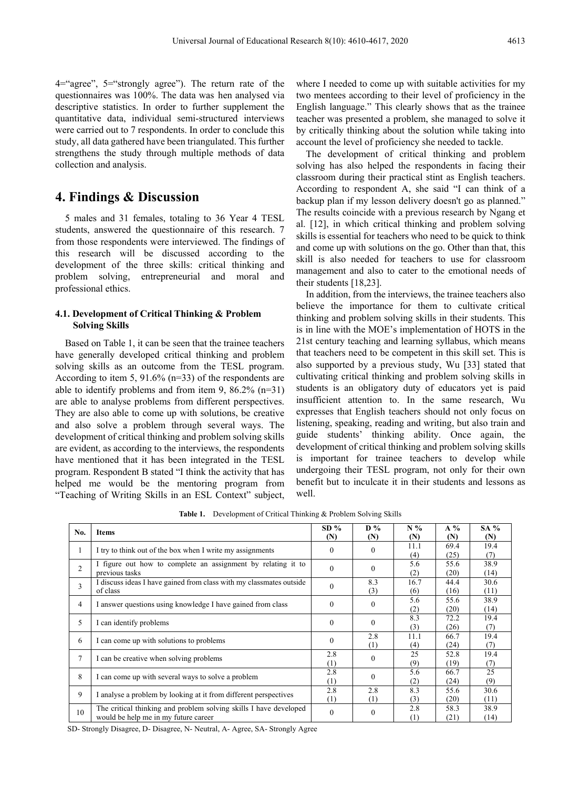4="agree", 5="strongly agree"). The return rate of the questionnaires was 100%. The data was hen analysed via descriptive statistics. In order to further supplement the quantitative data, individual semi-structured interviews were carried out to 7 respondents. In order to conclude this study, all data gathered have been triangulated. This further strengthens the study through multiple methods of data collection and analysis.

## **4. Findings & Discussion**

5 males and 31 females, totaling to 36 Year 4 TESL students, answered the questionnaire of this research. 7 from those respondents were interviewed. The findings of this research will be discussed according to the development of the three skills: critical thinking and problem solving, entrepreneurial and moral and professional ethics.

## **4.1. Development of Critical Thinking & Problem Solving Skills**

Based on Table 1, it can be seen that the trainee teachers have generally developed critical thinking and problem solving skills as an outcome from the TESL program. According to item 5, 91.6% (n=33) of the respondents are able to identify problems and from item 9, 86.2% (n=31) are able to analyse problems from different perspectives. They are also able to come up with solutions, be creative and also solve a problem through several ways. The development of critical thinking and problem solving skills are evident, as according to the interviews, the respondents have mentioned that it has been integrated in the TESL program. Respondent B stated "I think the activity that has helped me would be the mentoring program from "Teaching of Writing Skills in an ESL Context" subject,

where I needed to come up with suitable activities for my two mentees according to their level of proficiency in the English language." This clearly shows that as the trainee teacher was presented a problem, she managed to solve it by critically thinking about the solution while taking into account the level of proficiency she needed to tackle.

The development of critical thinking and problem solving has also helped the respondents in facing their classroom during their practical stint as English teachers. According to respondent A, she said "I can think of a backup plan if my lesson delivery doesn't go as planned." The results coincide with a previous research by Ngang et al. [12], in which critical thinking and problem solving skills is essential for teachers who need to be quick to think and come up with solutions on the go. Other than that, this skill is also needed for teachers to use for classroom management and also to cater to the emotional needs of their students [18,23].

In addition, from the interviews, the trainee teachers also believe the importance for them to cultivate critical thinking and problem solving skills in their students. This is in line with the MOE's implementation of HOTS in the 21st century teaching and learning syllabus, which means that teachers need to be competent in this skill set. This is also supported by a previous study, Wu [33] stated that cultivating critical thinking and problem solving skills in students is an obligatory duty of educators yet is paid insufficient attention to. In the same research, Wu expresses that English teachers should not only focus on listening, speaking, reading and writing, but also train and guide students' thinking ability. Once again, the development of critical thinking and problem solving skills is important for trainee teachers to develop while undergoing their TESL program, not only for their own benefit but to inculcate it in their students and lessons as well.

| No.            | <b>Items</b>                                                                                              | $SD\%$<br>(N) | $\mathbf{D}$ %<br>(N) | $N\%$<br>(N) | $A\%$<br>(N) | $SA\%$<br>(N) |
|----------------|-----------------------------------------------------------------------------------------------------------|---------------|-----------------------|--------------|--------------|---------------|
| 1              | I try to think out of the box when I write my assignments                                                 | $\theta$      | $\Omega$              | 11.1<br>(4)  | 69.4<br>(25) | 19.4<br>(7)   |
| 2              | I figure out how to complete an assignment by relating it to<br>previous tasks                            | $\theta$      | $\theta$              | 5.6<br>(2)   | 55.6<br>(20) | 38.9<br>(14)  |
| 3              | I discuss ideas I have gained from class with my classmates outside<br>of class                           | $\theta$      | 8.3<br>(3)            | 16.7<br>(6)  | 44.4<br>(16) | 30.6<br>(11)  |
| $\overline{4}$ | I answer questions using knowledge I have gained from class                                               | $\theta$      | $\Omega$              | 5.6<br>(2)   | 55.6<br>(20) | 38.9<br>(14)  |
| 5              | I can identify problems                                                                                   | $\theta$      | $\theta$              | 8.3<br>(3)   | 72.2<br>(26) | 19.4<br>(7)   |
| 6              | I can come up with solutions to problems                                                                  | $\theta$      | 2.8<br>(1)            | 11.1<br>(4)  | 66.7<br>(24) | 19.4<br>(7)   |
| 7              | I can be creative when solving problems                                                                   | 2.8<br>(1)    | $\mathbf{0}$          | 25<br>(9)    | 52.8<br>(19) | 19.4<br>(7)   |
| 8              | I can come up with several ways to solve a problem                                                        | 2.8<br>(1)    | $\Omega$              | 5.6<br>(2)   | 66.7<br>(24) | 25<br>(9)     |
| 9              | I analyse a problem by looking at it from different perspectives                                          | 2.8<br>(1)    | 2.8<br>(1)            | 8.3<br>(3)   | 55.6<br>(20) | 30.6<br>(11)  |
| 10             | The critical thinking and problem solving skills I have developed<br>would be help me in my future career | $\mathbf{0}$  | $\boldsymbol{0}$      | 2.8<br>(1)   | 58.3<br>(21) | 38.9<br>(14)  |

**Table 1.** Development of Critical Thinking & Problem Solving Skills

SD- Strongly Disagree, D- Disagree, N- Neutral, A- Agree, SA- Strongly Agree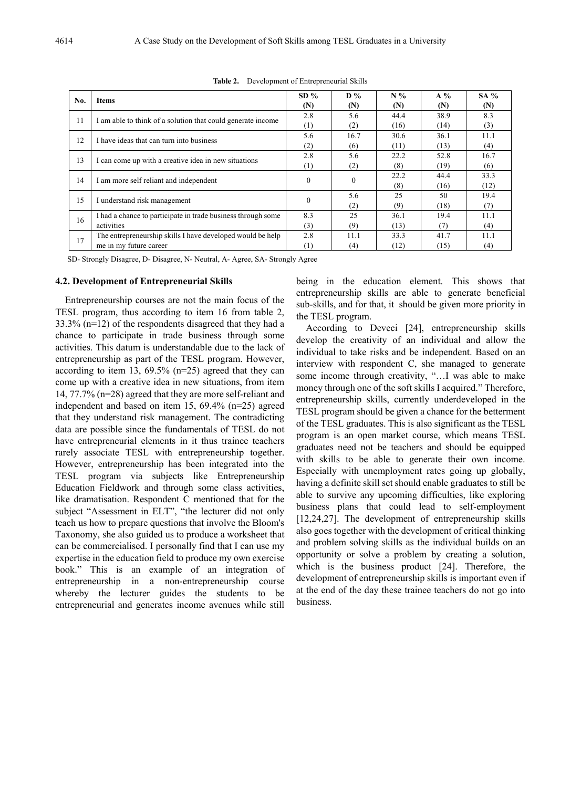| No. | <b>Items</b>                                                                         | $SD\%$<br>(N) | $D\%$<br>(N) | $N\%$<br>(N) | $A\%$<br>(N) | $SA\%$<br>(N) |
|-----|--------------------------------------------------------------------------------------|---------------|--------------|--------------|--------------|---------------|
| 11  | I am able to think of a solution that could generate income                          | 2.8<br>(1)    | 5.6<br>(2)   | 44.4<br>(16) | 38.9<br>(14) | 8.3<br>(3)    |
| 12  | I have ideas that can turn into business                                             | 5.6<br>(2)    | 16.7<br>(6)  | 30.6<br>(11) | 36.1<br>(13) | 11.1<br>(4)   |
| 13  | I can come up with a creative idea in new situations                                 | 2.8<br>(1)    | 5.6<br>(2)   | 22.2<br>(8)  | 52.8<br>(19) | 16.7<br>(6)   |
| 14  | I am more self reliant and independent                                               | $\theta$      | $\Omega$     | 22.2<br>(8)  | 44.4<br>(16) | 33.3<br>(12)  |
| 15  | I understand risk management                                                         | $\theta$      | 5.6<br>(2)   | 25<br>(9)    | 50<br>(18)   | 19.4<br>(7)   |
| 16  | I had a chance to participate in trade business through some<br>activities           | 8.3<br>(3)    | 25<br>(9)    | 36.1<br>(13) | 19.4<br>(7)  | 11.1<br>(4)   |
| 17  | The entrepreneurship skills I have developed would be help<br>me in my future career | 2.8<br>(1)    | 11.1<br>(4)  | 33.3<br>(12) | 41.7<br>(15) | 11.1<br>(4)   |

**Table 2.** Development of Entrepreneurial Skills

SD- Strongly Disagree, D- Disagree, N- Neutral, A- Agree, SA- Strongly Agree

#### **4.2. Development of Entrepreneurial Skills**

Entrepreneurship courses are not the main focus of the TESL program, thus according to item 16 from table 2, 33.3% (n=12) of the respondents disagreed that they had a chance to participate in trade business through some activities. This datum is understandable due to the lack of entrepreneurship as part of the TESL program. However, according to item 13, 69.5% (n=25) agreed that they can come up with a creative idea in new situations, from item 14, 77.7% (n=28) agreed that they are more self-reliant and independent and based on item 15, 69.4% (n=25) agreed that they understand risk management. The contradicting data are possible since the fundamentals of TESL do not have entrepreneurial elements in it thus trainee teachers rarely associate TESL with entrepreneurship together. However, entrepreneurship has been integrated into the TESL program via subjects like Entrepreneurship Education Fieldwork and through some class activities, like dramatisation. Respondent C mentioned that for the subject "Assessment in ELT", "the lecturer did not only teach us how to prepare questions that involve the Bloom's Taxonomy, she also guided us to produce a worksheet that can be commercialised. I personally find that I can use my expertise in the education field to produce my own exercise book." This is an example of an integration of entrepreneurship in a non-entrepreneurship course whereby the lecturer guides the students to be entrepreneurial and generates income avenues while still

being in the education element. This shows that entrepreneurship skills are able to generate beneficial sub-skills, and for that, it should be given more priority in the TESL program.

According to Deveci [24], entrepreneurship skills develop the creativity of an individual and allow the individual to take risks and be independent. Based on an interview with respondent C, she managed to generate some income through creativity, "…I was able to make money through one of the soft skills I acquired." Therefore, entrepreneurship skills, currently underdeveloped in the TESL program should be given a chance for the betterment of the TESL graduates. This is also significant as the TESL program is an open market course, which means TESL graduates need not be teachers and should be equipped with skills to be able to generate their own income. Especially with unemployment rates going up globally, having a definite skill set should enable graduates to still be able to survive any upcoming difficulties, like exploring business plans that could lead to self-employment [12,24,27]. The development of entrepreneurship skills also goes together with the development of critical thinking and problem solving skills as the individual builds on an opportunity or solve a problem by creating a solution, which is the business product [24]. Therefore, the development of entrepreneurship skills is important even if at the end of the day these trainee teachers do not go into business.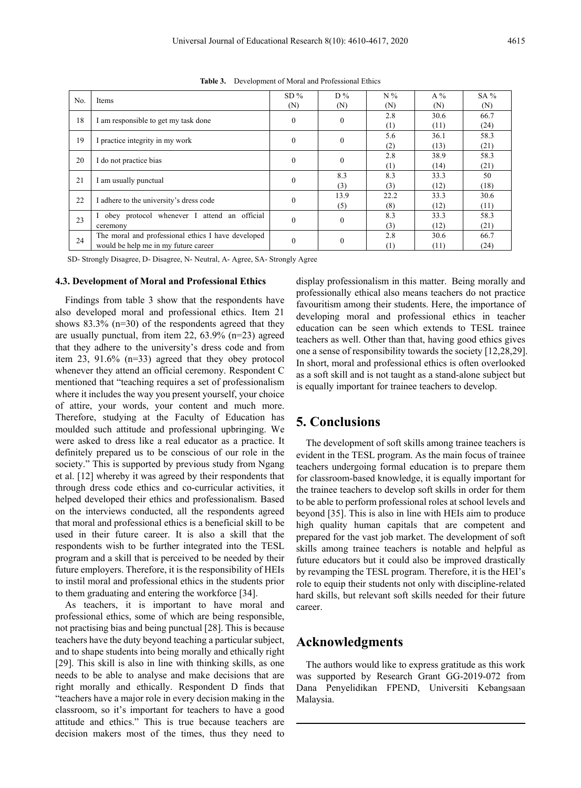| No. | Items                                              | $SD\%$   | $D\%$        | $N\%$ | A %  | $SA\%$ |
|-----|----------------------------------------------------|----------|--------------|-------|------|--------|
|     |                                                    | (N)      | (N)          | (N)   | (N)  | (N)    |
| 18  | I am responsible to get my task done               | $\Omega$ | $\theta$     | 2.8   | 30.6 | 66.7   |
|     |                                                    |          |              | (1)   | (11) | (24)   |
| 19  | I practice integrity in my work                    | $\theta$ | $\theta$     | 5.6   | 36.1 | 58.3   |
|     |                                                    |          |              | (2)   | (13) | (21)   |
| 20  | I do not practice bias                             | $\Omega$ | $\theta$     | 2.8   | 38.9 | 58.3   |
|     |                                                    |          |              | (1)   | (14) | (21)   |
| 21  | I am usually punctual                              | $\theta$ | 8.3          | 8.3   | 33.3 | 50     |
|     |                                                    |          | (3)          | (3)   | (12) | (18)   |
| 22  | I adhere to the university's dress code            | $\theta$ | 13.9         | 22.2  | 33.3 | 30.6   |
|     |                                                    |          | (5)          | (8)   | (12) | (11)   |
| 23  | attend an official<br>obey protocol whenever I     | $\theta$ | $\theta$     | 8.3   | 33.3 | 58.3   |
|     | ceremony                                           |          |              | (3)   | (12) | (21)   |
| 24  | The moral and professional ethics I have developed | $\theta$ | $\mathbf{0}$ | 2.8   | 30.6 | 66.7   |
|     | would be help me in my future career               |          |              | (1)   | (11) | (24)   |
|     |                                                    |          |              |       |      |        |

**Table 3.** Development of Moral and Professional Ethics

SD- Strongly Disagree, D- Disagree, N- Neutral, A- Agree, SA- Strongly Agree

### **4.3. Development of Moral and Professional Ethics**

Findings from table 3 show that the respondents have also developed moral and professional ethics. Item 21 shows 83.3% (n=30) of the respondents agreed that they are usually punctual, from item 22, 63.9% (n=23) agreed that they adhere to the university's dress code and from item 23, 91.6% (n=33) agreed that they obey protocol whenever they attend an official ceremony. Respondent C mentioned that "teaching requires a set of professionalism where it includes the way you present yourself, your choice of attire, your words, your content and much more. Therefore, studying at the Faculty of Education has moulded such attitude and professional upbringing. We were asked to dress like a real educator as a practice. It definitely prepared us to be conscious of our role in the society." This is supported by previous study from Ngang et al. [12] whereby it was agreed by their respondents that through dress code ethics and co-curricular activities, it helped developed their ethics and professionalism. Based on the interviews conducted, all the respondents agreed that moral and professional ethics is a beneficial skill to be used in their future career. It is also a skill that the respondents wish to be further integrated into the TESL program and a skill that is perceived to be needed by their future employers. Therefore, it is the responsibility of HEIs to instil moral and professional ethics in the students prior to them graduating and entering the workforce [34].

As teachers, it is important to have moral and professional ethics, some of which are being responsible, not practising bias and being punctual [28]. This is because teachers have the duty beyond teaching a particular subject, and to shape students into being morally and ethically right [29]. This skill is also in line with thinking skills, as one needs to be able to analyse and make decisions that are right morally and ethically. Respondent D finds that "teachers have a major role in every decision making in the classroom, so it's important for teachers to have a good attitude and ethics." This is true because teachers are decision makers most of the times, thus they need to

display professionalism in this matter. Being morally and professionally ethical also means teachers do not practice favouritism among their students. Here, the importance of developing moral and professional ethics in teacher education can be seen which extends to TESL trainee teachers as well. Other than that, having good ethics gives one a sense of responsibility towards the society [12,28,29]. In short, moral and professional ethics is often overlooked as a soft skill and is not taught as a stand-alone subject but is equally important for trainee teachers to develop.

## **5. Conclusions**

The development of soft skills among trainee teachers is evident in the TESL program. As the main focus of trainee teachers undergoing formal education is to prepare them for classroom-based knowledge, it is equally important for the trainee teachers to develop soft skills in order for them to be able to perform professional roles at school levels and beyond [35]. This is also in line with HEIs aim to produce high quality human capitals that are competent and prepared for the vast job market. The development of soft skills among trainee teachers is notable and helpful as future educators but it could also be improved drastically by revamping the TESL program. Therefore, it is the HEI's role to equip their students not only with discipline-related hard skills, but relevant soft skills needed for their future career.

## **Acknowledgments**

The authors would like to express gratitude as this work was supported by Research Grant GG-2019-072 from Dana Penyelidikan FPEND, Universiti Kebangsaan Malaysia.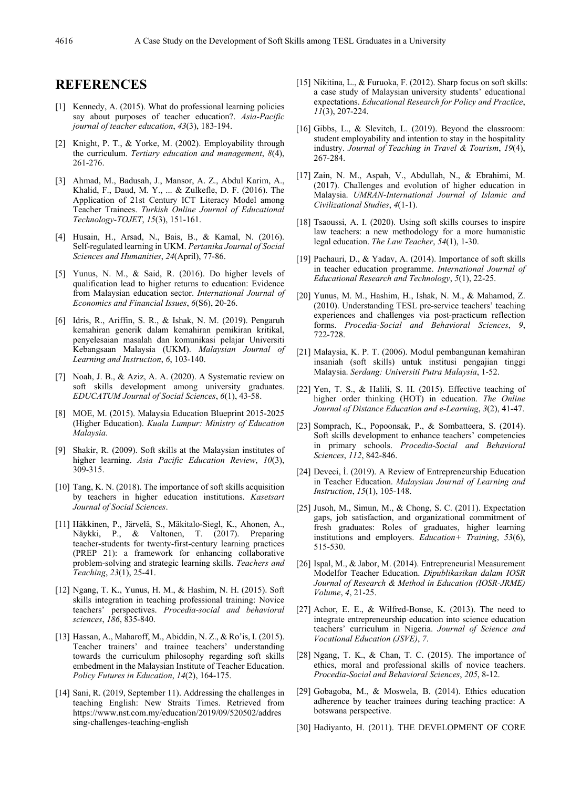## **REFERENCES**

- [1] Kennedy, A. (2015). What do professional learning policies say about purposes of teacher education?. *Asia-Pacific journal of teacher education*, *43*(3), 183-194.
- [2] Knight, P. T., & Yorke, M. (2002). Employability through the curriculum. *Tertiary education and management*, *8*(4), 261-276.
- [3] Ahmad, M., Badusah, J., Mansor, A. Z., Abdul Karim, A., Khalid, F., Daud, M. Y., ... & Zulkefle, D. F. (2016). The Application of 21st Century ICT Literacy Model among Teacher Trainees. *Turkish Online Journal of Educational Technology-TOJET*, *15*(3), 151-161.
- [4] Husain, H., Arsad, N., Bais, B., & Kamal, N. (2016). Self-regulated learning in UKM. *Pertanika Journal of Social Sciences and Humanities*, *24*(April), 77-86.
- [5] Yunus, N. M., & Said, R. (2016). Do higher levels of qualification lead to higher returns to education: Evidence from Malaysian education sector. *International Journal of Economics and Financial Issues*, *6*(S6), 20-26.
- [6] Idris, R., Ariffin, S. R., & Ishak, N. M. (2019). Pengaruh kemahiran generik dalam kemahiran pemikiran kritikal, penyelesaian masalah dan komunikasi pelajar Universiti Kebangsaan Malaysia (UKM). *Malaysian Journal of Learning and Instruction*, *6*, 103-140.
- [7] Noah, J. B., & Aziz, A. A. (2020). A Systematic review on soft skills development among university graduates. *EDUCATUM Journal of Social Sciences*, *6*(1), 43-58.
- [8] MOE, M. (2015). Malaysia Education Blueprint 2015-2025 (Higher Education). *Kuala Lumpur: Ministry of Education Malaysia*.
- [9] Shakir, R. (2009). Soft skills at the Malaysian institutes of higher learning. *Asia Pacific Education Review*, *10*(3), 309-315.
- [10] Tang, K. N. (2018). The importance of soft skills acquisition by teachers in higher education institutions. *Kasetsart Journal of Social Sciences*.
- [11] Häkkinen, P., Järvelä, S., Mäkitalo-Siegl, K., Ahonen, A., Näykki, P., & Valtonen, T. (2017). Preparing teacher-students for twenty-first-century learning practices (PREP 21): a framework for enhancing collaborative problem-solving and strategic learning skills. *Teachers and Teaching*, *23*(1), 25-41.
- [12] Ngang, T. K., Yunus, H. M., & Hashim, N. H. (2015). Soft skills integration in teaching professional training: Novice teachers' perspectives. *Procedia-social and behavioral sciences*, *186*, 835-840.
- [13] Hassan, A., Maharoff, M., Abiddin, N. Z., & Ro'is, I. (2015). Teacher trainers' and trainee teachers' understanding towards the curriculum philosophy regarding soft skills embedment in the Malaysian Institute of Teacher Education. *Policy Futures in Education*, *14*(2), 164-175.
- [14] Sani, R. (2019, September 11). Addressing the challenges in teaching English: New Straits Times. Retrieved from https://www.nst.com.my/education/2019/09/520502/addres sing-challenges-teaching-english
- [15] Nikitina, L., & Furuoka, F. (2012). Sharp focus on soft skills: a case study of Malaysian university students' educational expectations. *Educational Research for Policy and Practice*, *11*(3), 207-224.
- [16] Gibbs, L., & Slevitch, L. (2019). Beyond the classroom: student employability and intention to stay in the hospitality industry. *Journal of Teaching in Travel & Tourism*, *19*(4), 267-284.
- [17] Zain, N. M., Aspah, V., Abdullah, N., & Ebrahimi, M. (2017). Challenges and evolution of higher education in Malaysia. *UMRAN-International Journal of Islamic and Civilizational Studies*, *4*(1-1).
- [18] Tsaoussi, A. I. (2020). Using soft skills courses to inspire law teachers: a new methodology for a more humanistic legal education. *The Law Teacher*, *54*(1), 1-30.
- [19] Pachauri, D., & Yadav, A. (2014). Importance of soft skills in teacher education programme. *International Journal of Educational Research and Technology*, *5*(1), 22-25.
- [20] Yunus, M. M., Hashim, H., Ishak, N. M., & Mahamod, Z. (2010). Understanding TESL pre-service teachers' teaching experiences and challenges via post-practicum reflection forms. *Procedia-Social and Behavioral Sciences*, *9*, 722-728.
- [21] Malaysia, K. P. T. (2006). Modul pembangunan kemahiran insaniah (soft skills) untuk institusi pengajian tinggi Malaysia. *Serdang: Universiti Putra Malaysia*, 1-52.
- [22] Yen, T. S., & Halili, S. H. (2015). Effective teaching of higher order thinking (HOT) in education. *The Online Journal of Distance Education and e-Learning*, *3*(2), 41-47.
- [23] Somprach, K., Popoonsak, P., & Sombatteera, S. (2014). Soft skills development to enhance teachers' competencies in primary schools. *Procedia-Social and Behavioral Sciences*, *112*, 842-846.
- [24] Deveci, İ. (2019). A Review of Entrepreneurship Education in Teacher Education. *Malaysian Journal of Learning and Instruction*, *15*(1), 105-148.
- [25] Jusoh, M., Simun, M., & Chong, S. C. (2011). Expectation gaps, job satisfaction, and organizational commitment of fresh graduates: Roles of graduates, higher learning institutions and employers. *Education+ Training*, *53*(6), 515-530.
- [26] Ispal, M., & Jabor, M. (2014). Entrepreneurial Measurement Modelfor Teacher Education. *Dipublikasikan dalam IOSR Journal of Research & Method in Education (IOSR-JRME) Volume*, *4*, 21-25.
- [27] Achor, E. E.,  $\&$  Wilfred-Bonse, K. (2013). The need to integrate entrepreneurship education into science education teachers' curriculum in Nigeria. *Journal of Science and Vocational Education (JSVE)*, *7*.
- [28] Ngang, T. K., & Chan, T. C. (2015). The importance of ethics, moral and professional skills of novice teachers. *Procedia-Social and Behavioral Sciences*, *205*, 8-12.
- [29] Gobagoba, M., & Moswela, B. (2014). Ethics education adherence by teacher trainees during teaching practice: A botswana perspective.
- [30] Hadiyanto, H. (2011). THE DEVELOPMENT OF CORE